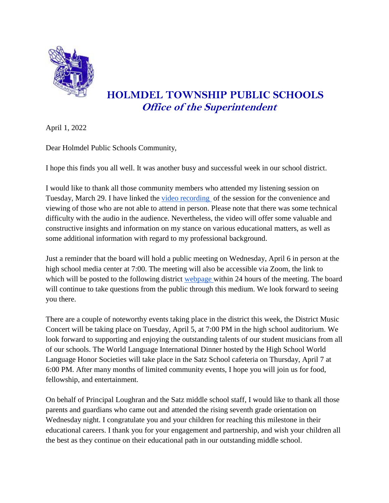

## **HOLMDEL TOWNSHIP PUBLIC SCHOOLS Office of the Superintendent**

April 1, 2022

Dear Holmdel Public Schools Community,

I hope this finds you all well. It was another busy and successful week in our school district.

I would like to thank all those community members who attended my listening session on Tuesday, March 29. I have linked the [video recording](https://www.youtube.com/watch?v=WxWdNF3_yik) of the session for the convenience and viewing of those who are not able to attend in person. Please note that there was some technical difficulty with the audio in the audience. Nevertheless, the video will offer some valuable and constructive insights and information on my stance on various educational matters, as well as some additional information with regard to my professional background.

Just a reminder that the board will hold a public meeting on Wednesday, April 6 in person at the high school media center at 7:00. The meeting will also be accessible via Zoom, the link to which will be posted to the following district [webpage w](https://www.holmdelschools.org/board-of-education/remotemeeting)ithin 24 hours of the meeting. The board will continue to take questions from the public through this medium. We look forward to seeing you there.

There are a couple of noteworthy events taking place in the district this week, the District Music Concert will be taking place on Tuesday, April 5, at 7:00 PM in the high school auditorium. We look forward to supporting and enjoying the outstanding talents of our student musicians from all of our schools. The World Language International Dinner hosted by the High School World Language Honor Societies will take place in the Satz School cafeteria on Thursday, April 7 at 6:00 PM. After many months of limited community events, I hope you will join us for food, fellowship, and entertainment.

On behalf of Principal Loughran and the Satz middle school staff, I would like to thank all those parents and guardians who came out and attended the rising seventh grade orientation on Wednesday night. I congratulate you and your children for reaching this milestone in their educational careers. I thank you for your engagement and partnership, and wish your children all the best as they continue on their educational path in our outstanding middle school.